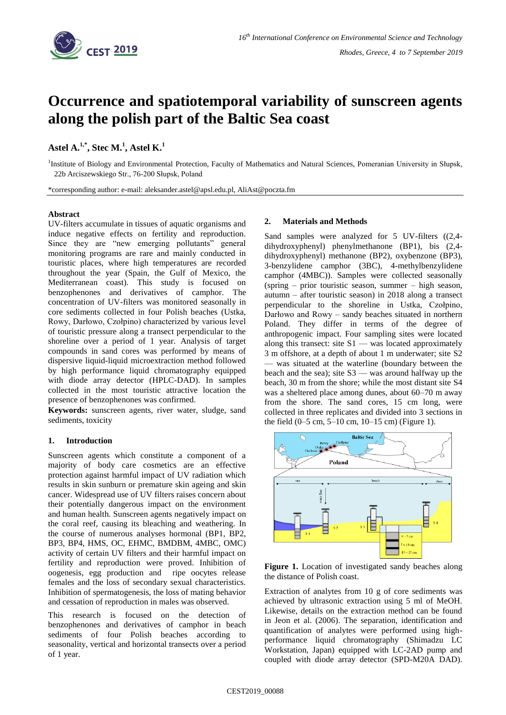

# **Occurrence and spatiotemporal variability of sunscreen agents along the polish part of the Baltic Sea coast**

# **Astel A.1,\* , Stec M.<sup>1</sup> , Astel K.<sup>1</sup>**

<sup>1</sup>Institute of Biology and Environmental Protection, Faculty of Mathematics and Natural Sciences, Pomeranian University in Słupsk, 22b Arciszewskiego Str., 76-200 Słupsk, Poland

\*corresponding author: e-mail: aleksander.astel@apsl.edu.pl, AliAst@poczta.fm

### **Abstract**

UV-filters accumulate in tissues of aquatic organisms and induce negative effects on fertility and reproduction. Since they are "new emerging pollutants" general monitoring programs are rare and mainly conducted in touristic places, where high temperatures are recorded throughout the year (Spain, the Gulf of Mexico, the Mediterranean coast). This study is focused on benzophenones and derivatives of camphor. The concentration of UV-filters was monitored seasonally in core sediments collected in four Polish beaches (Ustka, Rowy, Darłowo, Czołpino) characterized by various level of touristic pressure along a transect perpendicular to the shoreline over a period of 1 year. Analysis of target compounds in sand cores was performed by means of dispersive liquid-liquid microextraction method followed by high performance liquid chromatography equipped with diode array detector (HPLC-DAD). In samples collected in the most touristic attractive location the presence of benzophenones was confirmed.

**Keywords:** sunscreen agents, river water, sludge, sand sediments, toxicity

## **1. Introduction**

Sunscreen agents which constitute a component of a majority of body care cosmetics are an effective protection against harmful impact of UV radiation which results in skin sunburn or premature skin ageing and skin cancer. Widespread use of UV filters raises concern about their potentially dangerous impact on the environment and human health. Sunscreen agents negatively impact on the coral reef, causing its bleaching and weathering. In the course of numerous analyses hormonal (BP1, BP2, BP3, BP4, HMS, OC, EHMC, BMDBM, 4MBC, OMC) activity of certain UV filters and their harmful impact on fertility and reproduction were proved. Inhibition of oogenesis, egg production and ripe oocytes release females and the loss of secondary sexual characteristics. Inhibition of spermatogenesis, the loss of mating behavior and cessation of reproduction in males was observed.

This research is focused on the detection of benzophenones and derivatives of camphor in beach sediments of four Polish beaches according to seasonality, vertical and horizontal transects over a period of 1 year.

### **2. Materials and Methods**

Sand samples were analyzed for 5 UV-filters ((2,4 dihydroxyphenyl) phenylmethanone (BP1), bis (2,4 dihydroxyphenyl) methanone (BP2), oxybenzone (BP3), 3-benzylidene camphor (3BC), 4-methylbenzylidene camphor (4MBC)). Samples were collected seasonally (spring – prior touristic season, summer – high season, autumn – after touristic season) in 2018 along a transect perpendicular to the shoreline in Ustka, Czołpino, Darłowo and Rowy – sandy beaches situated in northern Poland. They differ in terms of the degree of anthropogenic impact. Four sampling sites were located along this transect: site S1 — was located approximately 3 m offshore, at a depth of about 1 m underwater; site S2 — was situated at the waterline (boundary between the beach and the sea); site S3 — was around halfway up the beach, 30 m from the shore; while the most distant site S4 was a sheltered place among dunes, about 60–70 m away from the shore. The sand cores, 15 cm long, were collected in three replicates and divided into 3 sections in the field (0–5 cm, 5–10 cm, 10–15 cm) (Figure 1).



**Figure 1.** Location of investigated sandy beaches along the distance of Polish coast.

Extraction of analytes from 10 g of core sediments was achieved by ultrasonic extraction using 5 ml of MeOH. Likewise, details on the extraction method can be found in Jeon et al. (2006). The separation, identification and quantification of analytes were performed using highperformance liquid chromatography (Shimadzu LC Workstation, Japan) equipped with LC-2AD pump and coupled with diode array detector (SPD-M20A DAD).